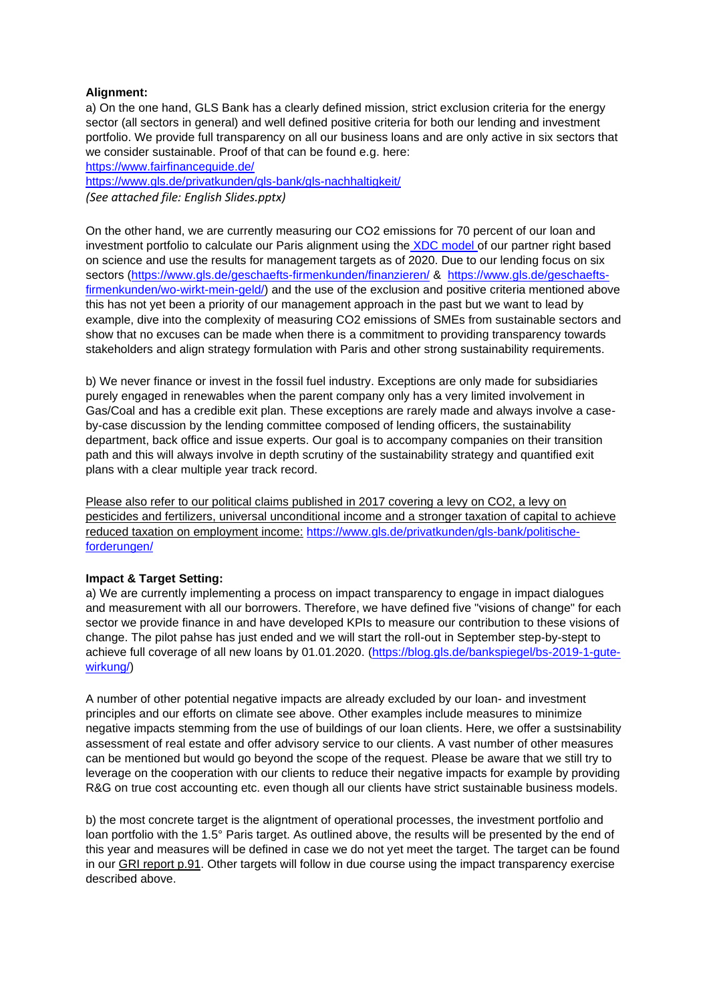# **Alignment:**

a) On the one hand, GLS Bank has a clearly defined mission, strict exclusion criteria for the energy sector (all sectors in general) and well defined positive criteria for both our lending and investment portfolio. We provide full transparency on all our business loans and are only active in six sectors that we consider sustainable. Proof of that can be found e.g. here:

<https://www.fairfinanceguide.de/> <https://www.gls.de/privatkunden/gls-bank/gls-nachhaltigkeit/> *(See attached file: English Slides.pptx)*

On the other hand, we are currently measuring our CO2 emissions for 70 percent of our loan and investment portfolio to calculate our Paris alignment using the [XDC model o](https://www.right-basedonscience.de/)f our partner right based on science and use the results for management targets as of 2020. Due to our lending focus on six sectors [\(https://www.gls.de/geschaefts-firmenkunden/finanzieren/](https://www.gls.de/geschaefts-firmenkunden/finanzieren/) & [https://www.gls.de/geschaefts](https://www.gls.de/geschaefts-firmenkunden/wo-wirkt-mein-geld/)[firmenkunden/wo-wirkt-mein-geld/\)](https://www.gls.de/geschaefts-firmenkunden/wo-wirkt-mein-geld/) and the use of the exclusion and positive criteria mentioned above this has not yet been a priority of our management approach in the past but we want to lead by example, dive into the complexity of measuring CO2 emissions of SMEs from sustainable sectors and show that no excuses can be made when there is a commitment to providing transparency towards stakeholders and align strategy formulation with Paris and other strong sustainability requirements.

b) We never finance or invest in the fossil fuel industry. Exceptions are only made for subsidiaries purely engaged in renewables when the parent company only has a very limited involvement in Gas/Coal and has a credible exit plan. These exceptions are rarely made and always involve a caseby-case discussion by the lending committee composed of lending officers, the sustainability department, back office and issue experts. Our goal is to accompany companies on their transition path and this will always involve in depth scrutiny of the sustainability strategy and quantified exit plans with a clear multiple year track record.

Please also refer to our political claims published in 2017 covering a levy on CO2, a levy on pesticides and fertilizers, universal unconditional income and a stronger taxation of capital to achieve reduced taxation on employment income: [https://www.gls.de/privatkunden/gls-bank/politische](https://www.gls.de/privatkunden/gls-bank/politische-forderungen/)[forderungen/](https://www.gls.de/privatkunden/gls-bank/politische-forderungen/)

# **Impact & Target Setting:**

a) We are currently implementing a process on impact transparency to engage in impact dialogues and measurement with all our borrowers. Therefore, we have defined five "visions of change" for each sector we provide finance in and have developed KPIs to measure our contribution to these visions of change. The pilot pahse has just ended and we will start the roll-out in September step-by-stept to achieve full coverage of all new loans by 01.01.2020. [\(https://blog.gls.de/bankspiegel/bs-2019-1-gute](https://blog.gls.de/bankspiegel/bs-2019-1-gute-wirkung/)[wirkung/\)](https://blog.gls.de/bankspiegel/bs-2019-1-gute-wirkung/)

A number of other potential negative impacts are already excluded by our loan- and investment principles and our efforts on climate see above. Other examples include measures to minimize negative impacts stemming from the use of buildings of our loan clients. Here, we offer a sustsinability assessment of real estate and offer advisory service to our clients. A vast number of other measures can be mentioned but would go beyond the scope of the request. Please be aware that we still try to leverage on the cooperation with our clients to reduce their negative impacts for example by providing R&G on true cost accounting etc. even though all our clients have strict sustainable business models.

b) the most concrete target is the aligntment of operational processes, the investment portfolio and loan portfolio with the 1.5° Paris target. As outlined above, the results will be presented by the end of this year and measures will be defined in case we do not yet meet the target. The target can be found in our GRI report p.91. Other targets will follow in due course using the impact transparency exercise described above.